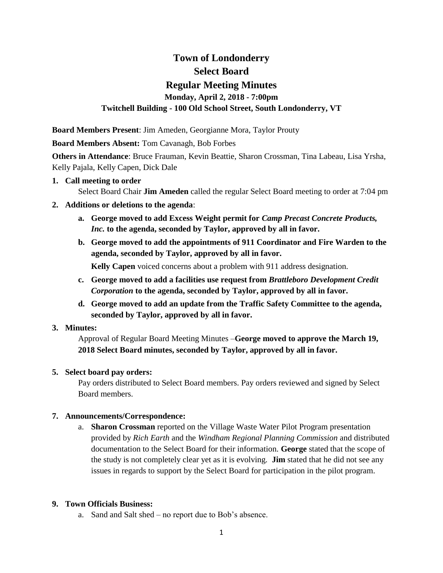# **Town of Londonderry Select Board Regular Meeting Minutes Monday, April 2, 2018 - 7:00pm Twitchell Building - 100 Old School Street, South Londonderry, VT**

**Board Members Present**: Jim Ameden, Georgianne Mora, Taylor Prouty

**Board Members Absent:** Tom Cavanagh, Bob Forbes

**Others in Attendance**: Bruce Frauman, Kevin Beattie, Sharon Crossman, Tina Labeau, Lisa Yrsha, Kelly Pajala, Kelly Capen, Dick Dale

#### **1. Call meeting to order**

Select Board Chair **Jim Ameden** called the regular Select Board meeting to order at 7:04 pm

- **2. Additions or deletions to the agenda**:
	- **a. George moved to add Excess Weight permit for** *Camp Precast Concrete Products, Inc.* **to the agenda, seconded by Taylor, approved by all in favor.**
	- **b. George moved to add the appointments of 911 Coordinator and Fire Warden to the agenda, seconded by Taylor, approved by all in favor.**

**Kelly Capen** voiced concerns about a problem with 911 address designation.

- **c. George moved to add a facilities use request from** *Brattleboro Development Credit Corporation* **to the agenda, seconded by Taylor, approved by all in favor.**
- **d. George moved to add an update from the Traffic Safety Committee to the agenda, seconded by Taylor, approved by all in favor.**

# **3. Minutes:**

Approval of Regular Board Meeting Minutes –**George moved to approve the March 19, 2018 Select Board minutes, seconded by Taylor, approved by all in favor.** 

# **5. Select board pay orders:**

Pay orders distributed to Select Board members. Pay orders reviewed and signed by Select Board members.

# **7. Announcements/Correspondence:**

a. **Sharon Crossman** reported on the Village Waste Water Pilot Program presentation provided by *Rich Earth* and the *Windham Regional Planning Commission* and distributed documentation to the Select Board for their information. **George** stated that the scope of the study is not completely clear yet as it is evolving. **Jim** stated that he did not see any issues in regards to support by the Select Board for participation in the pilot program.

# **9. Town Officials Business:**

a. Sand and Salt shed – no report due to Bob's absence.